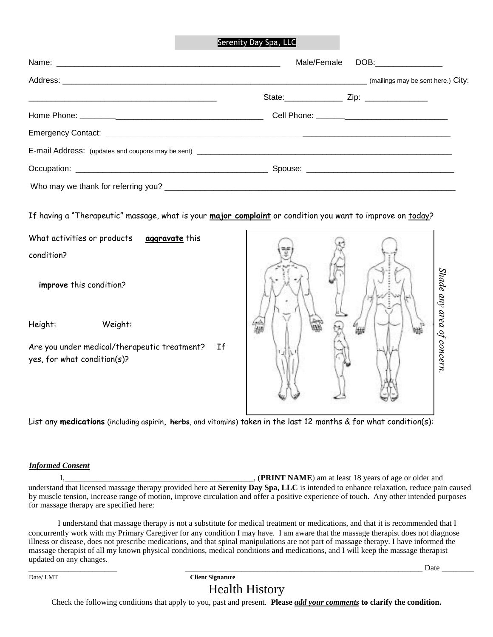#### Serenity Day Spa, LLC **®**

|                  | Male/Female DOB:_______________ |
|------------------|---------------------------------|
|                  |                                 |
| State: Zip: 2000 |                                 |
|                  |                                 |
|                  |                                 |
|                  |                                 |
|                  |                                 |
|                  |                                 |

If having a "Therapeutic" massage, what is your **major complaint** or condition you want to improve on today?

| What activities or products | aggravate this                               |    |  |
|-----------------------------|----------------------------------------------|----|--|
| condition?                  |                                              |    |  |
| improve this condition?     |                                              |    |  |
| Height:                     | Weight:                                      |    |  |
| yes, for what condition(s)? | Are you under medical/therapeutic treatment? | If |  |
|                             |                                              |    |  |

List any **medications** (including aspirin**, herbs**, and vitamins) taken in the last 12 months & for what condition(s):

## *Informed Consent*

I,\_\_\_\_\_\_\_\_\_\_\_\_\_\_\_\_\_\_\_\_\_\_\_\_\_\_\_\_\_\_\_\_\_\_\_\_\_\_\_\_\_\_\_\_\_\_\_, (**PRINT NAME**) am at least 18 years of age or older and

Shade any area of concern

understand that licensed massage therapy provided here at **Serenity Day Spa, LLC** is intended to enhance relaxation, reduce pain caused by muscle tension, increase range of motion, improve circulation and offer a positive experience of touch. Any other intended purposes for massage therapy are specified here:

I understand that massage therapy is not a substitute for medical treatment or medications, and that it is recommended that I concurrently work with my Primary Caregiver for any condition I may have. I am aware that the massage therapist does not diagnose illness or disease, does not prescribe medications, and that spinal manipulations are not part of massage therapy. I have informed the massage therapist of all my known physical conditions, medical conditions and medications, and I will keep the massage therapist updated on any changes.

\_\_\_\_\_\_\_\_\_\_\_\_\_\_\_\_\_\_\_\_\_\_ \_\_\_\_\_\_\_\_\_\_\_\_\_\_\_\_\_\_\_\_\_\_\_\_\_\_\_\_\_\_\_\_\_\_\_\_\_\_\_\_\_\_\_\_\_\_\_\_\_\_\_\_\_\_\_\_\_\_\_ Date \_\_\_\_\_\_\_\_ Date/ LMT **Client Signature**

# Health History

Check the following conditions that apply to you, past and present. **Please** *add your comments* **to clarify the condition.**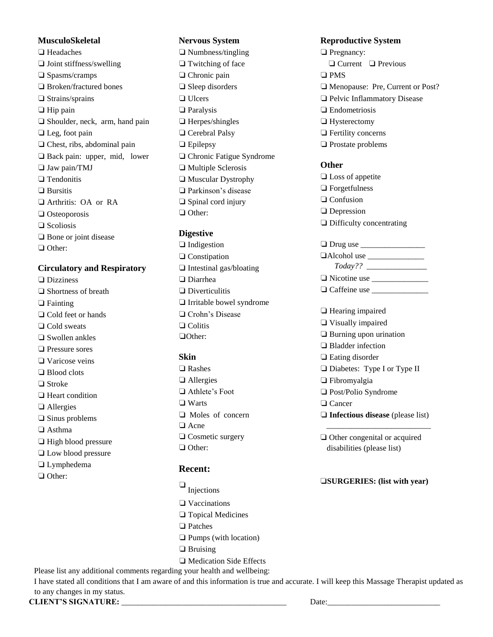## **MusculoSkeletal**

❏ Headaches ❏ Joint stiffness/swelling ❏ Spasms/cramps ❏ Broken/fractured bones ❏ Strains/sprains ❏ Hip pain ❏ Shoulder, neck, arm, hand pain ❏ Leg, foot pain ❏ Chest, ribs, abdominal pain ❏ Back pain: upper, mid, lower ❏ Jaw pain/TMJ ❏ Tendonitis ❏ Bursitis ❏ Arthritis: OA or RA ❏ Osteoporosis ❏ Scoliosis ❏ Bone or joint disease ❏ Other:

#### **Circulatory and Respiratory**

❏ Dizziness ❏ Shortness of breath ❏ Fainting ❏ Cold feet or hands ❏ Cold sweats ❏ Swollen ankles ❏ Pressure sores ❏ Varicose veins ❏ Blood clots ❏ Stroke ❏ Heart condition ❏ Allergies ❏ Sinus problems ❏ Asthma ❏ High blood pressure ❏ Low blood pressure ❏ Lymphedema ❏ Other:

#### **Nervous System**

❏ Numbness/tingling ❏ Twitching of face ❏ Chronic pain ❏ Sleep disorders ❏ Ulcers ❏ Paralysis ❏ Herpes/shingles ❏ Cerebral Palsy ❏ Epilepsy ❏ Chronic Fatigue Syndrome ❏ Multiple Sclerosis ❏ Muscular Dystrophy ❏ Parkinson's disease ❏ Spinal cord injury ❏ Other:

# **Digestive**

❏ Indigestion ❏ Constipation ❏ Intestinal gas/bloating ❏ Diarrhea ❏ Diverticulitis ❏ Irritable bowel syndrome ❏ Crohn's Disease ❏ Colitis ❏Other:

# **Skin**

❏ Rashes ❏ Allergies ❏ Athlete's Foot ❏ Warts ❏ Moles of concern ❏ Acne ❏ Cosmetic surgery ❏ Other:

# **Recent:**

- ❏ Injections
- ❏ Vaccinations
- ❏ Topical Medicines
- ❏ Patches
- ❏ Pumps (with location)
- ❏ Bruising

❏ Medication Side Effects

Please list any additional comments regarding your health and wellbeing:

I have stated all conditions that I am aware of and this information is true and accurate. I will keep this Massage Therapist updated as to any changes in my status.

## **Reproductive System** ❏ Pregnancy:

 ❏ Current ❏ Previous ❏ PMS ❏ Menopause: Pre, Current or Post? ❏ Pelvic Inflammatory Disease ❏ Endometriosis ❏ Hysterectomy ❏ Fertility concerns ❏ Prostate problems

# **Other**

❏ Loss of appetite ❏ Forgetfulness ❏ Confusion ❏ Depression ❏ Difficulty concentrating

| $\Box$ Alcohol use $\_\_$ |
|---------------------------|
| Today??                   |
| $\Box$ Nicotine use       |
| $\Box$ Caffeine use       |

❏ Hearing impaired ❏ Visually impaired ❏ Burning upon urination ❏ Bladder infection ❏ Eating disorder ❏ Diabetes: Type I or Type II ❏ Fibromyalgia ❏ Post/Polio Syndrome ❏ Cancer ❏ **Infectious disease** (please list)

❏ Other congenital or acquired disabilities (please list)

 $\frac{1}{2}$  , and the set of the set of the set of the set of the set of the set of the set of the set of the set of the set of the set of the set of the set of the set of the set of the set of the set of the set of the set

#### ❏**SURGERIES: (list with year)**